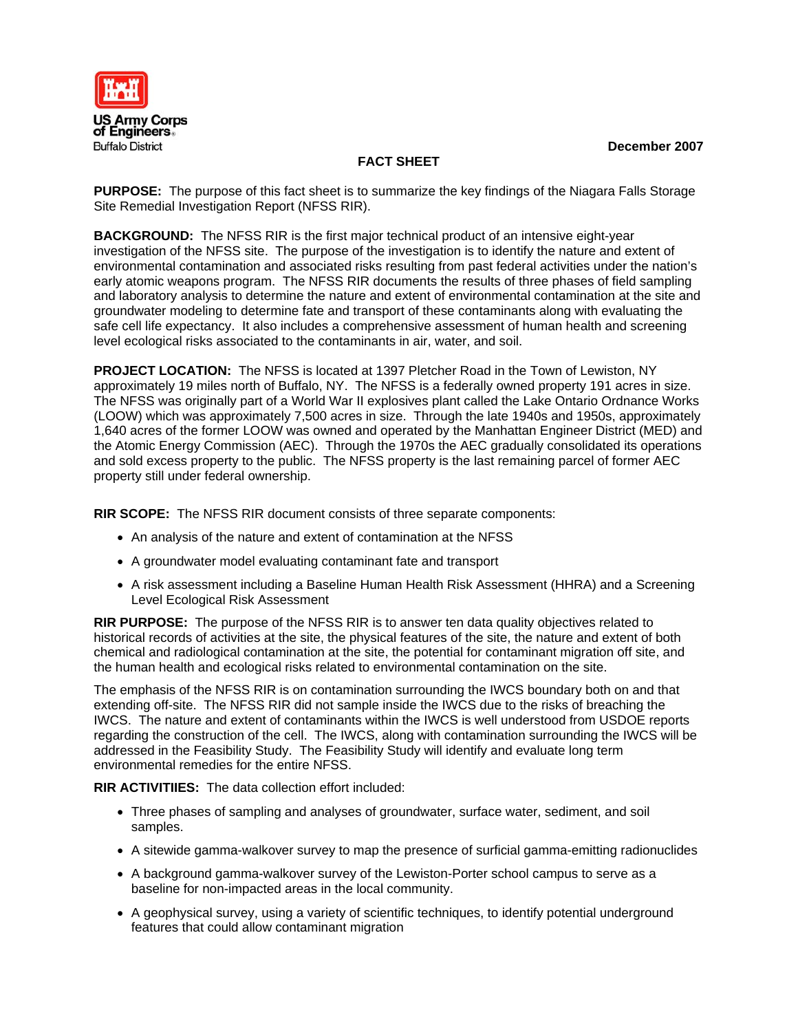

**December 2007** 

# **FACT SHEET**

**PURPOSE:** The purpose of this fact sheet is to summarize the key findings of the Niagara Falls Storage Site Remedial Investigation Report (NFSS RIR).

**BACKGROUND:** The NFSS RIR is the first major technical product of an intensive eight-year investigation of the NFSS site. The purpose of the investigation is to identify the nature and extent of environmental contamination and associated risks resulting from past federal activities under the nation's early atomic weapons program. The NFSS RIR documents the results of three phases of field sampling and laboratory analysis to determine the nature and extent of environmental contamination at the site and groundwater modeling to determine fate and transport of these contaminants along with evaluating the safe cell life expectancy. It also includes a comprehensive assessment of human health and screening level ecological risks associated to the contaminants in air, water, and soil.

**PROJECT LOCATION:** The NFSS is located at 1397 Pletcher Road in the Town of Lewiston, NY approximately 19 miles north of Buffalo, NY. The NFSS is a federally owned property 191 acres in size. The NFSS was originally part of a World War II explosives plant called the Lake Ontario Ordnance Works (LOOW) which was approximately 7,500 acres in size. Through the late 1940s and 1950s, approximately 1,640 acres of the former LOOW was owned and operated by the Manhattan Engineer District (MED) and the Atomic Energy Commission (AEC). Through the 1970s the AEC gradually consolidated its operations and sold excess property to the public. The NFSS property is the last remaining parcel of former AEC property still under federal ownership.

**RIR SCOPE:** The NFSS RIR document consists of three separate components:

- An analysis of the nature and extent of contamination at the NFSS
- A groundwater model evaluating contaminant fate and transport
- A risk assessment including a Baseline Human Health Risk Assessment (HHRA) and a Screening Level Ecological Risk Assessment

**RIR PURPOSE:** The purpose of the NFSS RIR is to answer ten data quality objectives related to historical records of activities at the site, the physical features of the site, the nature and extent of both chemical and radiological contamination at the site, the potential for contaminant migration off site, and the human health and ecological risks related to environmental contamination on the site.

The emphasis of the NFSS RIR is on contamination surrounding the IWCS boundary both on and that extending off-site. The NFSS RIR did not sample inside the IWCS due to the risks of breaching the IWCS. The nature and extent of contaminants within the IWCS is well understood from USDOE reports regarding the construction of the cell. The IWCS, along with contamination surrounding the IWCS will be addressed in the Feasibility Study. The Feasibility Study will identify and evaluate long term environmental remedies for the entire NFSS.

**RIR ACTIVITIIES:** The data collection effort included:

- Three phases of sampling and analyses of groundwater, surface water, sediment, and soil samples.
- A sitewide gamma-walkover survey to map the presence of surficial gamma-emitting radionuclides
- A background gamma-walkover survey of the Lewiston-Porter school campus to serve as a baseline for non-impacted areas in the local community.
- A geophysical survey, using a variety of scientific techniques, to identify potential underground features that could allow contaminant migration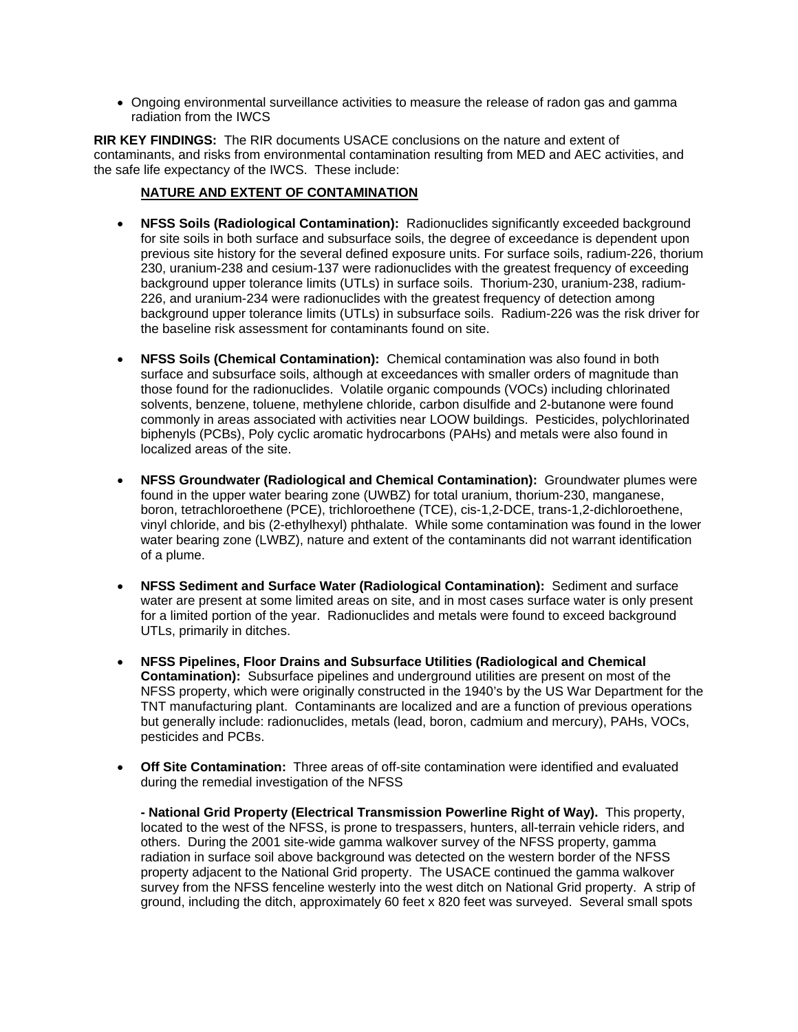• Ongoing environmental surveillance activities to measure the release of radon gas and gamma radiation from the IWCS

**RIR KEY FINDINGS:** The RIR documents USACE conclusions on the nature and extent of contaminants, and risks from environmental contamination resulting from MED and AEC activities, and the safe life expectancy of the IWCS. These include:

## **NATURE AND EXTENT OF CONTAMINATION**

- **NFSS Soils (Radiological Contamination):** Radionuclides significantly exceeded background for site soils in both surface and subsurface soils, the degree of exceedance is dependent upon previous site history for the several defined exposure units. For surface soils, radium-226, thorium 230, uranium-238 and cesium-137 were radionuclides with the greatest frequency of exceeding background upper tolerance limits (UTLs) in surface soils. Thorium-230, uranium-238, radium-226, and uranium-234 were radionuclides with the greatest frequency of detection among background upper tolerance limits (UTLs) in subsurface soils. Radium-226 was the risk driver for the baseline risk assessment for contaminants found on site.
- **NFSS Soils (Chemical Contamination):** Chemical contamination was also found in both surface and subsurface soils, although at exceedances with smaller orders of magnitude than those found for the radionuclides. Volatile organic compounds (VOCs) including chlorinated solvents, benzene, toluene, methylene chloride, carbon disulfide and 2-butanone were found commonly in areas associated with activities near LOOW buildings. Pesticides, polychlorinated biphenyls (PCBs), Poly cyclic aromatic hydrocarbons (PAHs) and metals were also found in localized areas of the site.
- **NFSS Groundwater (Radiological and Chemical Contamination):** Groundwater plumes were found in the upper water bearing zone (UWBZ) for total uranium, thorium-230, manganese, boron, tetrachloroethene (PCE), trichloroethene (TCE), cis-1,2-DCE, trans-1,2-dichloroethene, vinyl chloride, and bis (2-ethylhexyl) phthalate. While some contamination was found in the lower water bearing zone (LWBZ), nature and extent of the contaminants did not warrant identification of a plume.
- **NFSS Sediment and Surface Water (Radiological Contamination):** Sediment and surface water are present at some limited areas on site, and in most cases surface water is only present for a limited portion of the year. Radionuclides and metals were found to exceed background UTLs, primarily in ditches.
- **NFSS Pipelines, Floor Drains and Subsurface Utilities (Radiological and Chemical Contamination):** Subsurface pipelines and underground utilities are present on most of the NFSS property, which were originally constructed in the 1940's by the US War Department for the TNT manufacturing plant. Contaminants are localized and are a function of previous operations but generally include: radionuclides, metals (lead, boron, cadmium and mercury), PAHs, VOCs, pesticides and PCBs.
- **Off Site Contamination:** Three areas of off-site contamination were identified and evaluated during the remedial investigation of the NFSS

**- National Grid Property (Electrical Transmission Powerline Right of Way).** This property, located to the west of the NFSS, is prone to trespassers, hunters, all-terrain vehicle riders, and others. During the 2001 site-wide gamma walkover survey of the NFSS property, gamma radiation in surface soil above background was detected on the western border of the NFSS property adjacent to the National Grid property. The USACE continued the gamma walkover survey from the NFSS fenceline westerly into the west ditch on National Grid property. A strip of ground, including the ditch, approximately 60 feet x 820 feet was surveyed. Several small spots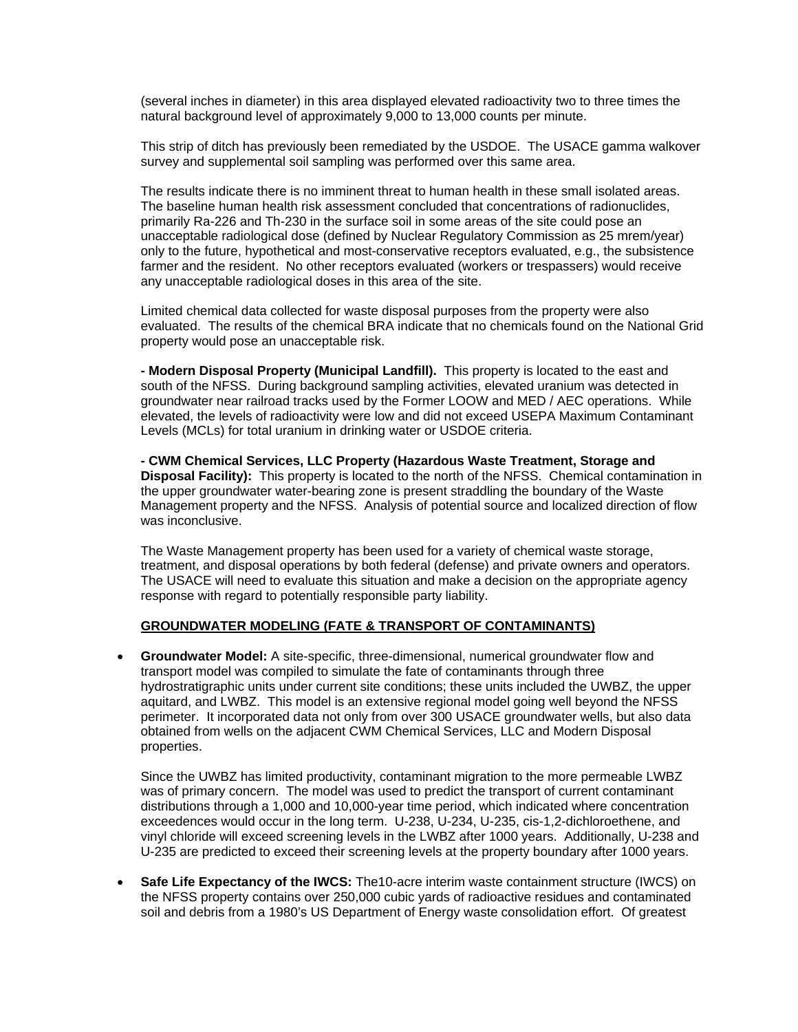(several inches in diameter) in this area displayed elevated radioactivity two to three times the natural background level of approximately 9,000 to 13,000 counts per minute.

This strip of ditch has previously been remediated by the USDOE. The USACE gamma walkover survey and supplemental soil sampling was performed over this same area.

The results indicate there is no imminent threat to human health in these small isolated areas. The baseline human health risk assessment concluded that concentrations of radionuclides, primarily Ra-226 and Th-230 in the surface soil in some areas of the site could pose an unacceptable radiological dose (defined by Nuclear Regulatory Commission as 25 mrem/year) only to the future, hypothetical and most-conservative receptors evaluated, e.g., the subsistence farmer and the resident. No other receptors evaluated (workers or trespassers) would receive any unacceptable radiological doses in this area of the site.

Limited chemical data collected for waste disposal purposes from the property were also evaluated. The results of the chemical BRA indicate that no chemicals found on the National Grid property would pose an unacceptable risk.

**- Modern Disposal Property (Municipal Landfill).** This property is located to the east and south of the NFSS. During background sampling activities, elevated uranium was detected in groundwater near railroad tracks used by the Former LOOW and MED / AEC operations. While elevated, the levels of radioactivity were low and did not exceed USEPA Maximum Contaminant Levels (MCLs) for total uranium in drinking water or USDOE criteria.

**- CWM Chemical Services, LLC Property (Hazardous Waste Treatment, Storage and Disposal Facility):** This property is located to the north of the NFSS. Chemical contamination in the upper groundwater water-bearing zone is present straddling the boundary of the Waste Management property and the NFSS. Analysis of potential source and localized direction of flow was inconclusive.

The Waste Management property has been used for a variety of chemical waste storage, treatment, and disposal operations by both federal (defense) and private owners and operators. The USACE will need to evaluate this situation and make a decision on the appropriate agency response with regard to potentially responsible party liability.

#### **GROUNDWATER MODELING (FATE & TRANSPORT OF CONTAMINANTS)**

• **Groundwater Model:** A site-specific, three-dimensional, numerical groundwater flow and transport model was compiled to simulate the fate of contaminants through three hydrostratigraphic units under current site conditions; these units included the UWBZ, the upper aquitard, and LWBZ. This model is an extensive regional model going well beyond the NFSS perimeter. It incorporated data not only from over 300 USACE groundwater wells, but also data obtained from wells on the adjacent CWM Chemical Services, LLC and Modern Disposal properties.

Since the UWBZ has limited productivity, contaminant migration to the more permeable LWBZ was of primary concern. The model was used to predict the transport of current contaminant distributions through a 1,000 and 10,000-year time period, which indicated where concentration exceedences would occur in the long term. U-238, U-234, U-235, cis-1,2-dichloroethene, and vinyl chloride will exceed screening levels in the LWBZ after 1000 years. Additionally, U-238 and U-235 are predicted to exceed their screening levels at the property boundary after 1000 years.

• **Safe Life Expectancy of the IWCS:** The10-acre interim waste containment structure (IWCS) on the NFSS property contains over 250,000 cubic yards of radioactive residues and contaminated soil and debris from a 1980's US Department of Energy waste consolidation effort. Of greatest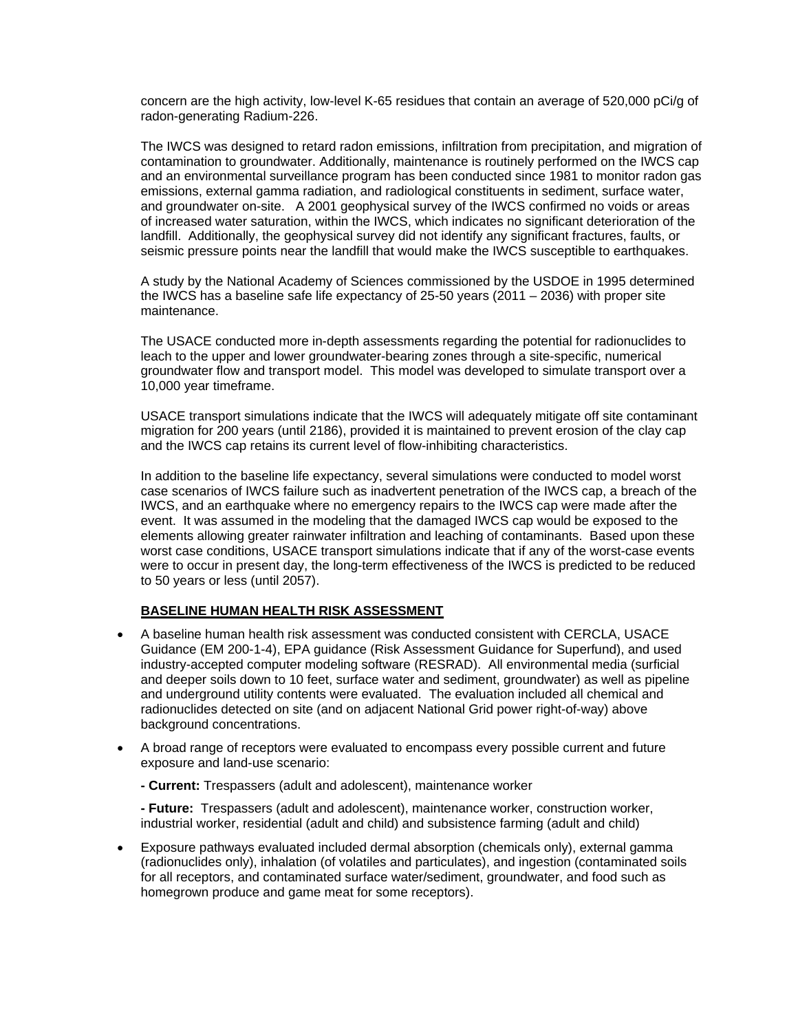concern are the high activity, low-level K-65 residues that contain an average of 520,000 pCi/g of radon-generating Radium-226.

The IWCS was designed to retard radon emissions, infiltration from precipitation, and migration of contamination to groundwater. Additionally, maintenance is routinely performed on the IWCS cap and an environmental surveillance program has been conducted since 1981 to monitor radon gas emissions, external gamma radiation, and radiological constituents in sediment, surface water, and groundwater on-site. A 2001 geophysical survey of the IWCS confirmed no voids or areas of increased water saturation, within the IWCS, which indicates no significant deterioration of the landfill. Additionally, the geophysical survey did not identify any significant fractures, faults, or seismic pressure points near the landfill that would make the IWCS susceptible to earthquakes.

A study by the National Academy of Sciences commissioned by the USDOE in 1995 determined the IWCS has a baseline safe life expectancy of 25-50 years (2011 – 2036) with proper site maintenance.

The USACE conducted more in-depth assessments regarding the potential for radionuclides to leach to the upper and lower groundwater-bearing zones through a site-specific, numerical groundwater flow and transport model. This model was developed to simulate transport over a 10,000 year timeframe.

USACE transport simulations indicate that the IWCS will adequately mitigate off site contaminant migration for 200 years (until 2186), provided it is maintained to prevent erosion of the clay cap and the IWCS cap retains its current level of flow-inhibiting characteristics.

In addition to the baseline life expectancy, several simulations were conducted to model worst case scenarios of IWCS failure such as inadvertent penetration of the IWCS cap, a breach of the IWCS, and an earthquake where no emergency repairs to the IWCS cap were made after the event. It was assumed in the modeling that the damaged IWCS cap would be exposed to the elements allowing greater rainwater infiltration and leaching of contaminants. Based upon these worst case conditions, USACE transport simulations indicate that if any of the worst-case events were to occur in present day, the long-term effectiveness of the IWCS is predicted to be reduced to 50 years or less (until 2057).

#### **BASELINE HUMAN HEALTH RISK ASSESSMENT**

- A baseline human health risk assessment was conducted consistent with CERCLA, USACE Guidance (EM 200-1-4), EPA guidance (Risk Assessment Guidance for Superfund), and used industry-accepted computer modeling software (RESRAD). All environmental media (surficial and deeper soils down to 10 feet, surface water and sediment, groundwater) as well as pipeline and underground utility contents were evaluated. The evaluation included all chemical and radionuclides detected on site (and on adjacent National Grid power right-of-way) above background concentrations.
- A broad range of receptors were evaluated to encompass every possible current and future exposure and land-use scenario:
	- **Current:** Trespassers (adult and adolescent), maintenance worker

**- Future:** Trespassers (adult and adolescent), maintenance worker, construction worker, industrial worker, residential (adult and child) and subsistence farming (adult and child)

• Exposure pathways evaluated included dermal absorption (chemicals only), external gamma (radionuclides only), inhalation (of volatiles and particulates), and ingestion (contaminated soils for all receptors, and contaminated surface water/sediment, groundwater, and food such as homegrown produce and game meat for some receptors).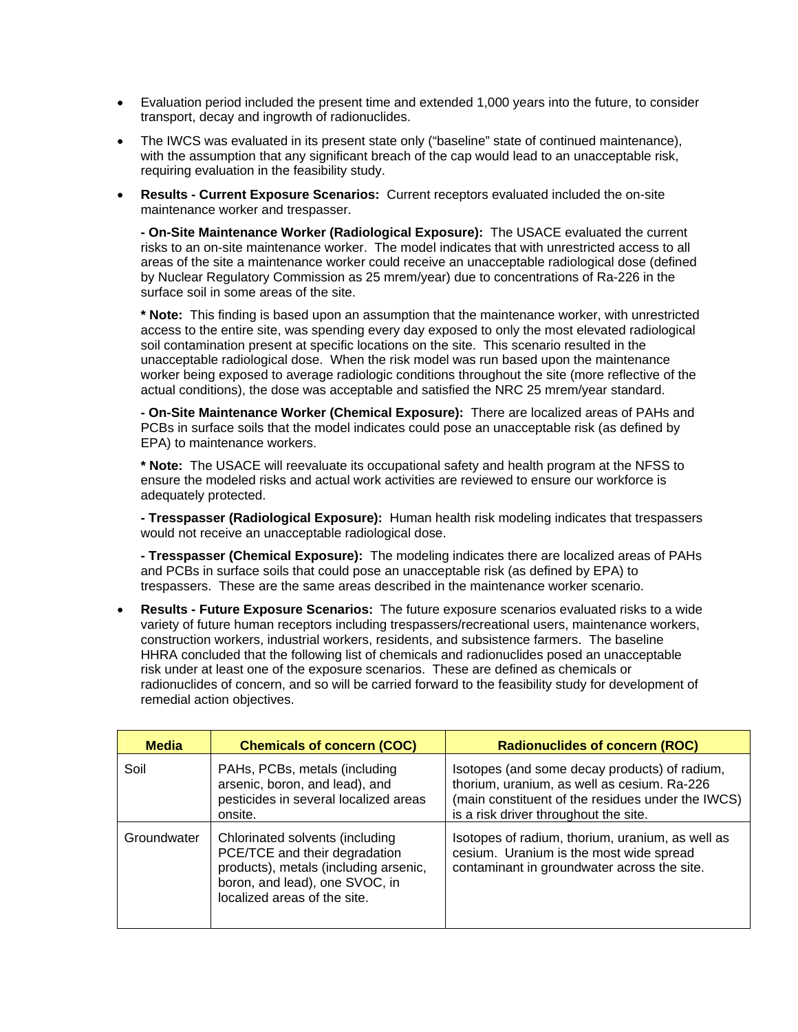- Evaluation period included the present time and extended 1,000 years into the future, to consider transport, decay and ingrowth of radionuclides.
- The IWCS was evaluated in its present state only ("baseline" state of continued maintenance), with the assumption that any significant breach of the cap would lead to an unacceptable risk, requiring evaluation in the feasibility study.
- **Results Current Exposure Scenarios:** Current receptors evaluated included the on-site maintenance worker and trespasser.

**- On-Site Maintenance Worker (Radiological Exposure):** The USACE evaluated the current risks to an on-site maintenance worker. The model indicates that with unrestricted access to all areas of the site a maintenance worker could receive an unacceptable radiological dose (defined by Nuclear Regulatory Commission as 25 mrem/year) due to concentrations of Ra-226 in the surface soil in some areas of the site.

**\* Note:** This finding is based upon an assumption that the maintenance worker, with unrestricted access to the entire site, was spending every day exposed to only the most elevated radiological soil contamination present at specific locations on the site. This scenario resulted in the unacceptable radiological dose. When the risk model was run based upon the maintenance worker being exposed to average radiologic conditions throughout the site (more reflective of the actual conditions), the dose was acceptable and satisfied the NRC 25 mrem/year standard.

**- On-Site Maintenance Worker (Chemical Exposure):** There are localized areas of PAHs and PCBs in surface soils that the model indicates could pose an unacceptable risk (as defined by EPA) to maintenance workers.

**\* Note:** The USACE will reevaluate its occupational safety and health program at the NFSS to ensure the modeled risks and actual work activities are reviewed to ensure our workforce is adequately protected.

**- Tresspasser (Radiological Exposure):** Human health risk modeling indicates that trespassers would not receive an unacceptable radiological dose.

**- Tresspasser (Chemical Exposure):** The modeling indicates there are localized areas of PAHs and PCBs in surface soils that could pose an unacceptable risk (as defined by EPA) to trespassers. These are the same areas described in the maintenance worker scenario.

• **Results - Future Exposure Scenarios:** The future exposure scenarios evaluated risks to a wide variety of future human receptors including trespassers/recreational users, maintenance workers, construction workers, industrial workers, residents, and subsistence farmers.The baseline HHRA concluded that the following list of chemicals and radionuclides posed an unacceptable risk under at least one of the exposure scenarios. These are defined as chemicals or radionuclides of concern, and so will be carried forward to the feasibility study for development of remedial action objectives.

| <b>Media</b> | <b>Chemicals of concern (COC)</b>                                                                                                                                           | <b>Radionuclides of concern (ROC)</b>                                                                                                                                                      |
|--------------|-----------------------------------------------------------------------------------------------------------------------------------------------------------------------------|--------------------------------------------------------------------------------------------------------------------------------------------------------------------------------------------|
| Soil         | PAHs, PCBs, metals (including<br>arsenic, boron, and lead), and<br>pesticides in several localized areas<br>onsite.                                                         | Isotopes (and some decay products) of radium,<br>thorium, uranium, as well as cesium. Ra-226<br>(main constituent of the residues under the IWCS)<br>is a risk driver throughout the site. |
| Groundwater  | Chlorinated solvents (including<br>PCE/TCE and their degradation<br>products), metals (including arsenic,<br>boron, and lead), one SVOC, in<br>localized areas of the site. | Isotopes of radium, thorium, uranium, as well as<br>cesium. Uranium is the most wide spread<br>contaminant in groundwater across the site.                                                 |